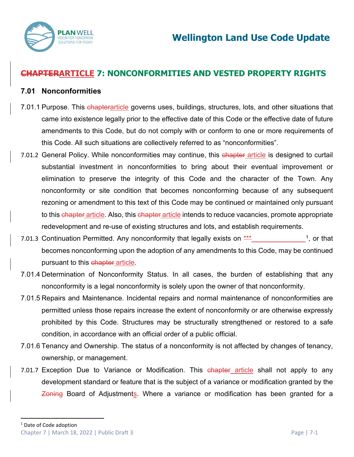

# **CHAPTERARTICLE 7: NONCONFORMITIES AND VESTED PROPERTY RIGHTS**

## **7.01 Nonconformities**

- 7.01.1 Purpose. This chapterarticle governs uses, buildings, structures, lots, and other situations that came into existence legally prior to the effective date of this Code or the effective date of future amendments to this Code, but do not comply with or conform to one or more requirements of this Code. All such situations are collectively referred to as "nonconformities".
- 7.01.2 General Policy. While nonconformities may continue, this chapter article is designed to curtail substantial investment in nonconformities to bring about their eventual improvement or elimination to preserve the integrity of this Code and the character of the Town. Any nonconformity or site condition that becomes nonconforming because of any subsequent rezoning or amendment to this text of this Code may be continued or maintained only pursuant to this chapter article. Also, this chapter article intends to reduce vacancies, promote appropriate redevelopment and re-use of existing structures and lots, and establish requirements.
- 7.01.3 Continuation Permitted. Any nonconformity that legally exists on  $***$   $1,$  or that becomes nonconforming upon the adoption of any amendments to this Code, may be continued pursuant to this chapter article.
- 7.01.4 Determination of Nonconformity Status. In all cases, the burden of establishing that any nonconformity is a legal nonconformity is solely upon the owner of that nonconformity.
- 7.01.5 Repairs and Maintenance. Incidental repairs and normal maintenance of nonconformities are permitted unless those repairs increase the extent of nonconformity or are otherwise expressly prohibited by this Code. Structures may be structurally strengthened or restored to a safe condition, in accordance with an official order of a public official.
- 7.01.6 Tenancy and Ownership. The status of a nonconformity is not affected by changes of tenancy, ownership, or management.
- <span id="page-0-0"></span>7.01.7 Exception Due to Variance or Modification. This chapter article shall not apply to any development standard or feature that is the subject of a variance or modification granted by the Zoning Board of Adjustments. Where a variance or modification has been granted for a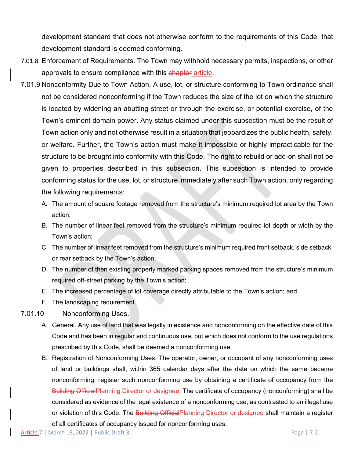development standard that does not otherwise conform to the requirements of this Code, that development standard is deemed conforming.

- 7.01.8 Enforcement of Requirements. The Town may withhold necessary permits, inspections, or other approvals to ensure compliance with this chapter article.
- 7.01.9 Nonconformity Due to Town Action. A use, lot, or structure conforming to Town ordinance shall not be considered nonconforming if the Town reduces the size of the lot on which the structure is located by widening an abutting street or through the exercise, or potential exercise, of the Town's eminent domain power. Any status claimed under this subsection must be the result of Town action only and not otherwise result in a situation that jeopardizes the public health, safety, or welfare. Further, the Town's action must make it impossible or highly impracticable for the structure to be brought into conformity with this Code. The right to rebuild or add-on shall not be given to properties described in this subsection. This subsection is intended to provide conforming status for the use, lot, or structure immediately after such Town action, only regarding the following requirements:
	- A. The amount of square footage removed from the structure's minimum required lot area by the Town action;
	- B. The number of linear feet removed from the structure's minimum required lot depth or width by the Town's action;
	- C. The number of linear feet removed from the structure's minimum required front setback, side setback, or rear setback by the Town's action;
	- D. The number of then existing properly marked parking spaces removed from the structure's minimum required off-street parking by the Town's action;
	- E. The increased percentage of lot coverage directly attributable to the Town's action; and
	- F. The landscaping requirement.
- 7.01.10 Nonconforming Uses.
	- A. General. Any use of land that was legally in existence and nonconforming on the effective date of this Code and has been in regular and continuous use, but which does not conform to the use regulations prescribed by this Code, shall be deemed a nonconforming use.
	- B. Registration of Nonconforming Uses. The operator, owner, or occupant of any nonconforming uses of land or buildings shall, within 365 calendar days after the date on which the same became nonconforming, register such nonconforming use by obtaining a certificate of occupancy from the Building OfficialPlanning Director or designee. The certificate of occupancy (nonconforming) shall be considered as evidence of the legal existence of a nonconforming use, as contrasted to an illegal use or violation of this Code. The Building OfficialPlanning Director or designee shall maintain a register of all certificates of occupancy issued for nonconforming uses.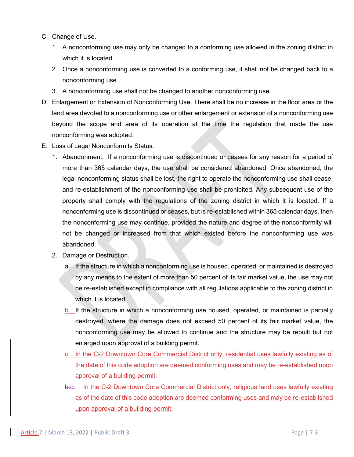- C. Change of Use.
	- 1. A nonconforming use may only be changed to a conforming use allowed in the zoning district in which it is located.
	- 2. Once a nonconforming use is converted to a conforming use, it shall not be changed back to a nonconforming use.
	- 3. A nonconforming use shall not be changed to another nonconforming use.
- D. Enlargement or Extension of Nonconforming Use. There shall be no increase in the floor area or the land area devoted to a nonconforming use or other enlargement or extension of a nonconforming use beyond the scope and area of its operation at the time the regulation that made the use nonconforming was adopted.
- E. Loss of Legal Nonconformity Status.
	- 1. Abandonment. If a nonconforming use is discontinued or ceases for any reason for a period of more than 365 calendar days, the use shall be considered abandoned. Once abandoned, the legal nonconforming status shall be lost, the right to operate the nonconforming use shall cease, and re-establishment of the nonconforming use shall be prohibited. Any subsequent use of the property shall comply with the regulations of the zoning district in which it is located. If a nonconforming use is discontinued or ceases, but is re-established within 365 calendar days, then the nonconforming use may continue, provided the nature and degree of the nonconformity will not be changed or increased from that which existed before the nonconforming use was abandoned.
	- 2. Damage or Destruction.
		- a. If the structure in which a nonconforming use is housed, operated, or maintained is destroyed by any means to the extent of more than 50 percent of its fair market value, the use may not be re-established except in compliance with all regulations applicable to the zoning district in which it is located.
		- b. If the structure in which a nonconforming use housed, operated, or maintained is partially destroyed, where the damage does not exceed 50 percent of its fair market value, the nonconforming use may be allowed to continue and the structure may be rebuilt but not enlarged upon approval of a building permit.
		- c. In the C-2 Downtown Core Commercial District only, residential uses lawfully existing as of the date of this code adoption are deemed conforming uses and may be re-established upon approval of a building permit.
		- b.d. In the C-2 Downtown Core Commercial District only, religious land uses lawfully existing as of the date of this code adoption are deemed conforming uses and may be re-established upon approval of a building permit.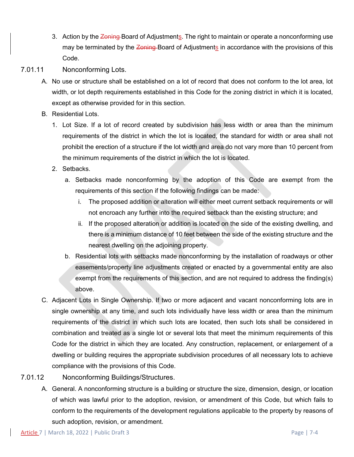- 3. Action by the Zoning-Board of Adjustments. The right to maintain or operate a nonconforming use may be terminated by the Zoning-Board of Adjustments in accordance with the provisions of this Code.
- 7.01.11 Nonconforming Lots.
	- A. No use or structure shall be established on a lot of record that does not conform to the lot area, lot width, or lot depth requirements established in this Code for the zoning district in which it is located, except as otherwise provided for in this section.
	- B. Residential Lots.
		- 1. Lot Size. If a lot of record created by subdivision has less width or area than the minimum requirements of the district in which the lot is located, the standard for width or area shall not prohibit the erection of a structure if the lot width and area do not vary more than 10 percent from the minimum requirements of the district in which the lot is located.
		- 2. Setbacks.
			- a. Setbacks made nonconforming by the adoption of this Code are exempt from the requirements of this section if the following findings can be made:
				- i. The proposed addition or alteration will either meet current setback requirements or will not encroach any further into the required setback than the existing structure; and
				- ii. If the proposed alteration or addition is located on the side of the existing dwelling, and there is a minimum distance of 10 feet between the side of the existing structure and the nearest dwelling on the adjoining property.
			- b. Residential lots with setbacks made nonconforming by the installation of roadways or other easements/property line adjustments created or enacted by a governmental entity are also exempt from the requirements of this section, and are not required to address the finding(s) above.
	- C. Adjacent Lots in Single Ownership. If two or more adjacent and vacant nonconforming lots are in single ownership at any time, and such lots individually have less width or area than the minimum requirements of the district in which such lots are located, then such lots shall be considered in combination and treated as a single lot or several lots that meet the minimum requirements of this Code for the district in which they are located. Any construction, replacement, or enlargement of a dwelling or building requires the appropriate subdivision procedures of all necessary lots to achieve compliance with the provisions of this Code.
- 7.01.12 Nonconforming Buildings/Structures.
	- A. General. A nonconforming structure is a building or structure the size, dimension, design, or location of which was lawful prior to the adoption, revision, or amendment of this Code, but which fails to conform to the requirements of the development regulations applicable to the property by reasons of such adoption, revision, or amendment.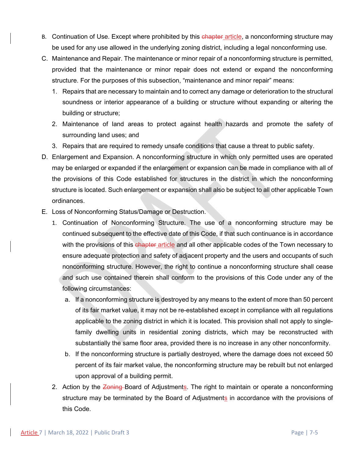- B. Continuation of Use. Except where prohibited by this chapter article, a nonconforming structure may be used for any use allowed in the underlying zoning district, including a legal nonconforming use.
- C. Maintenance and Repair. The maintenance or minor repair of a nonconforming structure is permitted, provided that the maintenance or minor repair does not extend or expand the nonconforming structure. For the purposes of this subsection, "maintenance and minor repair" means:
	- 1. Repairs that are necessary to maintain and to correct any damage or deterioration to the structural soundness or interior appearance of a building or structure without expanding or altering the building or structure;
	- 2. Maintenance of land areas to protect against health hazards and promote the safety of surrounding land uses; and
	- 3. Repairs that are required to remedy unsafe conditions that cause a threat to public safety.
- D. Enlargement and Expansion. A nonconforming structure in which only permitted uses are operated may be enlarged or expanded if the enlargement or expansion can be made in compliance with all of the provisions of this Code established for structures in the district in which the nonconforming structure is located. Such enlargement or expansion shall also be subject to all other applicable Town ordinances.
- E. Loss of Nonconforming Status/Damage or Destruction.
	- 1. Continuation of Nonconforming Structure. The use of a nonconforming structure may be continued subsequent to the effective date of this Code, if that such continuance is in accordance with the provisions of this chapter article and all other applicable codes of the Town necessary to ensure adequate protection and safety of adjacent property and the users and occupants of such nonconforming structure. However, the right to continue a nonconforming structure shall cease and such use contained therein shall conform to the provisions of this Code under any of the following circumstances:
		- a. If a nonconforming structure is destroyed by any means to the extent of more than 50 percent of its fair market value, it may not be re-established except in compliance with all regulations applicable to the zoning district in which it is located. This provision shall not apply to singlefamily dwelling units in residential zoning districts, which may be reconstructed with substantially the same floor area, provided there is no increase in any other nonconformity.
		- b. If the nonconforming structure is partially destroyed, where the damage does not exceed 50 percent of its fair market value, the nonconforming structure may be rebuilt but not enlarged upon approval of a building permit.
	- 2. Action by the Zoning-Board of Adjustments. The right to maintain or operate a nonconforming structure may be terminated by the Board of Adjustments in accordance with the provisions of this Code.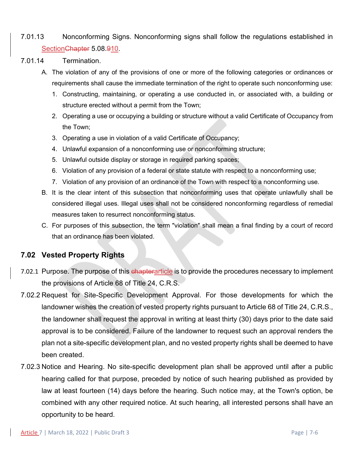## 7.01.13 Nonconforming Signs. Nonconforming signs shall follow the regulations established in Section Chapter 5.08.910.

- 7.01.14 Termination.
	- A. The violation of any of the provisions of one or more of the following categories or ordinances or requirements shall cause the immediate termination of the right to operate such nonconforming use:
		- 1. Constructing, maintaining, or operating a use conducted in, or associated with, a building or structure erected without a permit from the Town;
		- 2. Operating a use or occupying a building or structure without a valid Certificate of Occupancy from the Town;
		- 3. Operating a use in violation of a valid Certificate of Occupancy;
		- 4. Unlawful expansion of a nonconforming use or nonconforming structure;
		- 5. Unlawful outside display or storage in required parking spaces;
		- 6. Violation of any provision of a federal or state statute with respect to a nonconforming use;
		- 7. Violation of any provision of an ordinance of the Town with respect to a nonconforming use.
	- B. It is the clear intent of this subsection that nonconforming uses that operate unlawfully shall be considered illegal uses. Illegal uses shall not be considered nonconforming regardless of remedial measures taken to resurrect nonconforming status.
	- C. For purposes of this subsection, the term "violation" shall mean a final finding by a court of record that an ordinance has been violated.

## **7.02 Vested Property Rights**

- 7.02.1 Purpose. The purpose of this chapterarticle is to provide the procedures necessary to implement the provisions of Article 68 of Title 24, C.R.S.
- 7.02.2 Request for Site-Specific Development Approval. For those developments for which the landowner wishes the creation of vested property rights pursuant to Article 68 of Title 24, C.R.S., the landowner shall request the approval in writing at least thirty (30) days prior to the date said approval is to be considered. Failure of the landowner to request such an approval renders the plan not a site-specific development plan, and no vested property rights shall be deemed to have been created.
- 7.02.3 Notice and Hearing. No site-specific development plan shall be approved until after a public hearing called for that purpose, preceded by notice of such hearing published as provided by law at least fourteen (14) days before the hearing. Such notice may, at the Town's option, be combined with any other required notice. At such hearing, all interested persons shall have an opportunity to be heard.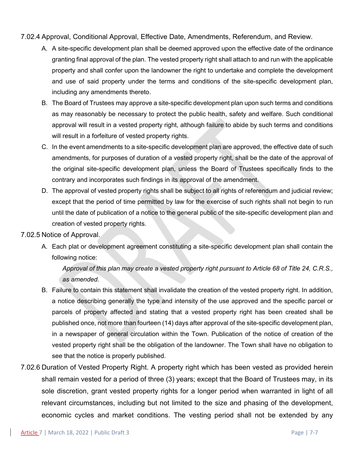#### 7.02.4 Approval, Conditional Approval, Effective Date, Amendments, Referendum, and Review.

- A. A site-specific development plan shall be deemed approved upon the effective date of the ordinance granting final approval of the plan. The vested property right shall attach to and run with the applicable property and shall confer upon the landowner the right to undertake and complete the development and use of said property under the terms and conditions of the site-specific development plan, including any amendments thereto.
- B. The Board of Trustees may approve a site-specific development plan upon such terms and conditions as may reasonably be necessary to protect the public health, safety and welfare. Such conditional approval will result in a vested property right, although failure to abide by such terms and conditions will result in a forfeiture of vested property rights.
- C. In the event amendments to a site-specific development plan are approved, the effective date of such amendments, for purposes of duration of a vested property right, shall be the date of the approval of the original site-specific development plan, unless the Board of Trustees specifically finds to the contrary and incorporates such findings in its approval of the amendment.
- D. The approval of vested property rights shall be subject to all rights of referendum and judicial review; except that the period of time permitted by law for the exercise of such rights shall not begin to run until the date of publication of a notice to the general public of the site-specific development plan and creation of vested property rights.

## 7.02.5 Notice of Approval.

A. Each plat or development agreement constituting a site-specific development plan shall contain the following notice:

*Approval of this plan may create a vested property right pursuant to Article 68 of Title 24, C.R.S., as amended.*

- B. Failure to contain this statement shall invalidate the creation of the vested property right. In addition, a notice describing generally the type and intensity of the use approved and the specific parcel or parcels of property affected and stating that a vested property right has been created shall be published once, not more than fourteen (14) days after approval of the site-specific development plan, in a newspaper of general circulation within the Town. Publication of the notice of creation of the vested property right shall be the obligation of the landowner. The Town shall have no obligation to see that the notice is properly published.
- 7.02.6 Duration of Vested Property Right. A property right which has been vested as provided herein shall remain vested for a period of three (3) years; except that the Board of Trustees may, in its sole discretion, grant vested property rights for a longer period when warranted in light of all relevant circumstances, including but not limited to the size and phasing of the development, economic cycles and market conditions. The vesting period shall not be extended by any